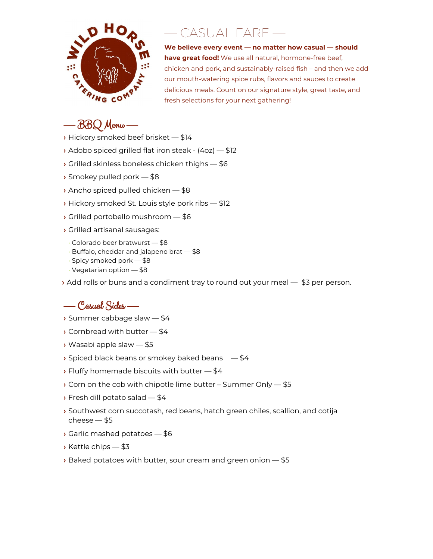

## — CASUAL FARE —

**We believe every event — no matter how casual — should have great food!** We use all natural, hormone-free beef, chicken and pork, and sustainably-raised fish – and then we add our mouth-watering spice rubs, flavors and sauces to create delicious meals. Count on our signature style, great taste, and fresh selections for your next gathering!

## — BBQ Menu —

- **›** Hickory smoked beef brisket \$14
- **›** Adobo spiced grilled flat iron steak (4oz) \$12
- **›** Grilled skinless boneless chicken thighs \$6
- **›** Smokey pulled pork \$8
- **›** Ancho spiced pulled chicken \$8
- **›** Hickory smoked St. Louis style pork ribs \$12
- **›** Grilled portobello mushroom \$6
- **›** Grilled artisanal sausages:
- Colorado beer bratwurst \$8
- Buffalo, cheddar and jalapeno brat \$8
- Spicy smoked pork \$8
- Vegetarian option \$8
- **›** Add rolls or buns and a condiment tray to round out your meal \$3 per person.

## — Casual Sides —

- **›** Summer cabbage slaw \$4
- **›** Cornbread with butter \$4
- **›** Wasabi apple slaw \$5
- **›** Spiced black beans or smokey baked beans \$4
- **›** Fluffy homemade biscuits with butter \$4
- **›** Corn on the cob with chipotle lime butter Summer Only \$5
- **›** Fresh dill potato salad \$4
- **›** Southwest corn succotash, red beans, hatch green chiles, scallion, and cotija cheese — \$5
- **›** Garlic mashed potatoes \$6
- **›** Kettle chips \$3
- **›** Baked potatoes with butter, sour cream and green onion \$5